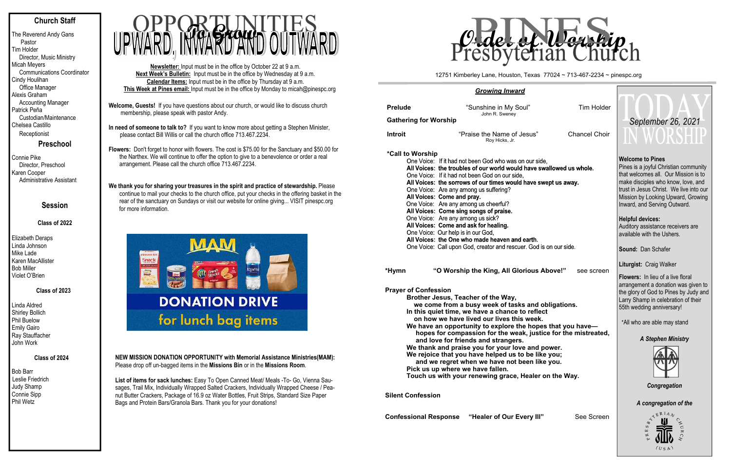# **Church Staff**

The Reverend Andy Gans Pastor Tim Holder Director, Music Ministry Micah Meyers Communications Coordinator Cindy Houlihan Office Manager Alexis Graham Accounting Manager Patrick Peña Custodian/Maintenance Chelsea Castillo **Receptionist** 

**Preschool**

Connie Pike Director, Preschool Karen Cooper Administrative Assistant

# **Session**

# **Class of 2022**

Elizabeth Deraps Linda Johnson Mike Lade Karen MacAllister Bob Miller Violet O'Brien

### **Class of 2023**

Linda Aldred Shirley Bollich Phil Buelow Emily Gairo Ray Stauffacher John Work

# **Class of 2024**

Bob Barr Leslie Friedrich Judy Shamp Connie Sipp Phil Wetz

- **Welcome, Guests!** If you have questions about our church, or would like to discuss church membership, please speak with pastor Andy.
- **In need of someone to talk to?** If you want to know more about getting a Stephen Minister, please contact Bill Willis or call the church office 713.467.2234.

**Flowers:** Don't forget to honor with flowers. The cost is \$75.00 for the Sanctuary and \$50.00 for the Narthex. We will continue to offer the option to give to a benevolence or order a real arrangement. Please call the church office 713.467.2234.

| <b>Prelude</b><br><b>Gathering for Worship</b> | "Sunshine in My Soul"<br>John R. Sweney            |  |  |  |  |  |
|------------------------------------------------|----------------------------------------------------|--|--|--|--|--|
| Introit                                        | "Praise the Name of Jesus"                         |  |  |  |  |  |
|                                                | Roy Hicks, Jr.                                     |  |  |  |  |  |
| *Call to Worship                               |                                                    |  |  |  |  |  |
|                                                | One Voice: If it had not been God who was on our s |  |  |  |  |  |
|                                                | All Voices: the troubles of our world would have   |  |  |  |  |  |
|                                                | One Voice: If it had not been God on our side,     |  |  |  |  |  |
|                                                | All Voices: the sorrows of our times would have :  |  |  |  |  |  |
|                                                | One Voice: Are any among us suffering?             |  |  |  |  |  |
|                                                | All Voices: Come and pray.                         |  |  |  |  |  |
|                                                | One Voice: Are any among us cheerful?              |  |  |  |  |  |
|                                                | All Voices: Come sing songs of praise.             |  |  |  |  |  |
|                                                | One Voice: Are any among us sick?                  |  |  |  |  |  |
|                                                | All Voices: Come and ask for healing.              |  |  |  |  |  |
|                                                | One Voice: Our help is in our God,                 |  |  |  |  |  |
|                                                | All Voices: the One who made heaven and earth.     |  |  |  |  |  |
|                                                | One Voice: Call upon God, creator and rescuer. God |  |  |  |  |  |
|                                                |                                                    |  |  |  |  |  |

**We thank you for sharing your treasures in the spirit and practice of stewardship.** Please continue to mail your checks to the church office, put your checks in the offering basket in the rear of the sanctuary on Sundays or visit our website for online giving... VISIT pinespc.org for more information.



**Newsletter:** Input must be in the office by October 22 at 9 a.m. **Next Week's Bulletin:** Input must be in the office by Wednesday at 9 a.m. **Calendar Items:** Input must be in the office by Thursday at 9 a.m. **This Week at Pines email:** Input must be in the office by Monday to micah@pinespc.org



**NEW MISSION DONATION OPPORTUNITY with Memorial Assistance Ministries(MAM):** Please drop off un-bagged items in the **Missions Bin** or in the **Missions Room**.

**List of items for sack lunches:** Easy To Open Canned Meat/ Meals -To- Go, Vienna Sausages, Trail Mix, Individually Wrapped Salted Crackers, Individually Wrapped Cheese / Peanut Butter Crackers, Package of 16.9 oz Water Bottles, Fruit Strips, Standard Size Paper Bags and Protein Bars/Granola Bars. Thank you for your donations!

#### *Growing Inward*

**\*Hy mn "O Worship the King, All Glorious Above!"** see screen

#### **Prayer of Confession**

**Brother Jesus, Teacher of the Way, we come from a busy week of tasks and obligations. In this quiet time, we have a chance to reflect on how we have lived our lives this week. We have an opportunity to explore the hopes that you have hopes for compassion for the weak, justice for the mistreated, and love for friends and strangers. We thank and praise you for your love and power. We rejoice that you have helped us to be like you; and we regret when we have not been like you. Pick us up where we have fallen. Touch us with your renewing grace, Healer on the Way.** 

**Silent Confession** 

**Confessional Response** "Healer of Our Every III" See Screen

Tim Holder

**Is**" Chancel Choir

ur side. ve swallowed us whole.

ve swept us away.

God is on our side.

**Welcome to Pines**Pines is a joyful Christian community that welcomes all. Our Mission is to make disciples who know, love, and trust in Jesus Christ. We live into our Mission by Looking Upward, Growing Inward, and Serving Outward.

**Helpful devices:**  Auditory assistance receivers are available with the Ushers.

**Sound:** Dan Schafer

**Liturgist:** Craig Walker

**Flowers:** In lieu of a live floral arrangement a donation was given to the glory of God to Pines by Judy and Larry Shamp in celebration of their 55th wedding anniversary!

\*All who are able may stand

# *A Stephen Ministry*



*Congregation* 

*A congregation of the* 



12751 Kimberley Lane, Houston, Texas 77024 ~ 713-467-2234 ~ pinespc.org



# *September 26, 2021*